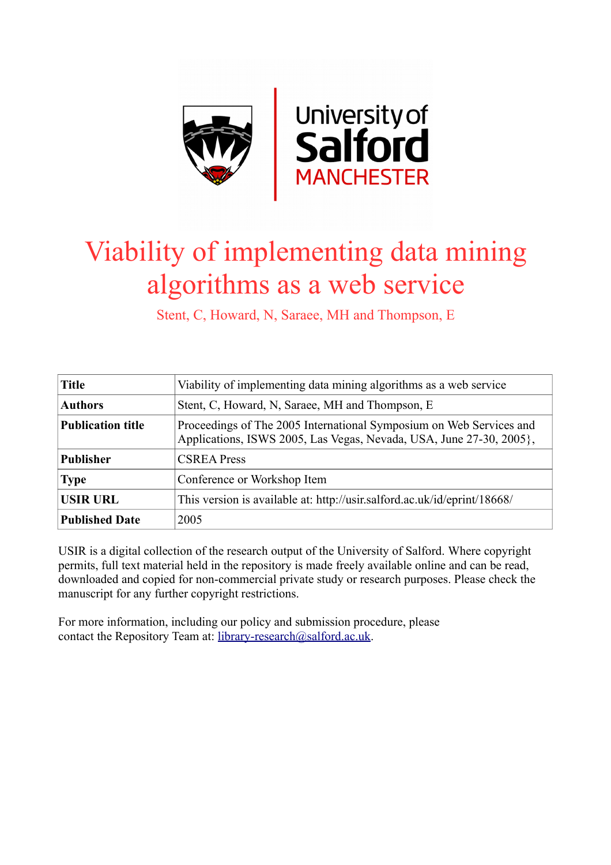

# Viability of implementing data mining algorithms as a web service

Stent, C, Howard, N, Saraee, MH and Thompson, E

| <b>Title</b>             | Viability of implementing data mining algorithms as a web service                                                                          |  |  |
|--------------------------|--------------------------------------------------------------------------------------------------------------------------------------------|--|--|
| <b>Authors</b>           | Stent, C, Howard, N, Saraee, MH and Thompson, E                                                                                            |  |  |
| <b>Publication title</b> | Proceedings of The 2005 International Symposium on Web Services and<br>Applications, ISWS 2005, Las Vegas, Nevada, USA, June 27-30, 2005}, |  |  |
| <b>Publisher</b>         | <b>CSREA Press</b>                                                                                                                         |  |  |
| <b>Type</b>              | Conference or Workshop Item                                                                                                                |  |  |
| <b>USIR URL</b>          | This version is available at: http://usir.salford.ac.uk/id/eprint/18668/                                                                   |  |  |
| <b>Published Date</b>    | 2005                                                                                                                                       |  |  |

USIR is a digital collection of the research output of the University of Salford. Where copyright permits, full text material held in the repository is made freely available online and can be read, downloaded and copied for non-commercial private study or research purposes. Please check the manuscript for any further copyright restrictions.

For more information, including our policy and submission procedure, please contact the Repository Team at: [library-research@salford.ac.uk.](mailto:library-research@salford.ac.uk)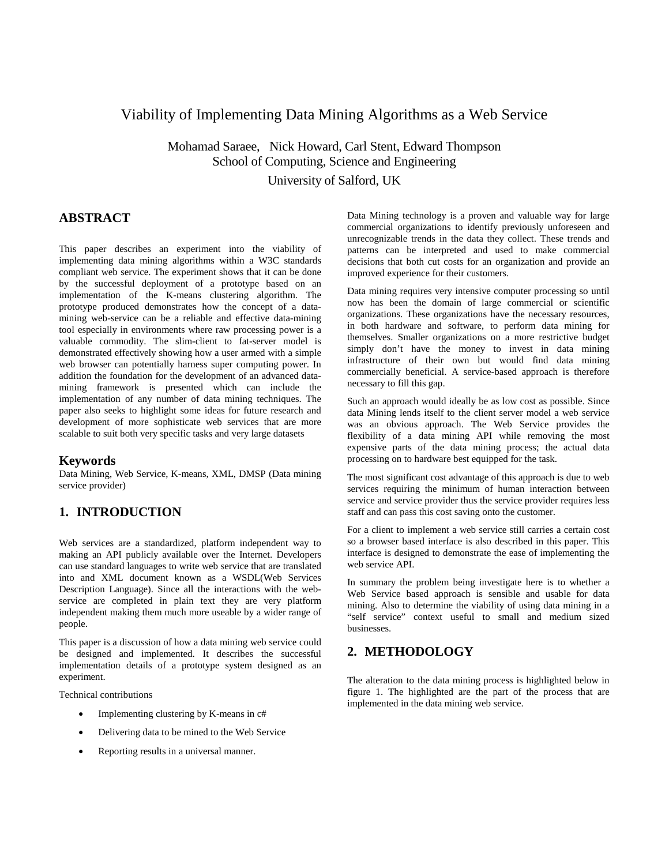## Viability of Implementing Data Mining Algorithms as a Web Service

Mohamad Saraee, Nick Howard, Carl Stent, Edward Thompson School of Computing, Science and Engineering University of Salford, UK

## **ABSTRACT**

This paper describes an experiment into the viability of implementing data mining algorithms within a W3C standards compliant web service. The experiment shows that it can be done by the successful deployment of a prototype based on an implementation of the K-means clustering algorithm. The prototype produced demonstrates how the concept of a datamining web-service can be a reliable and effective data-mining tool especially in environments where raw processing power is a valuable commodity. The slim-client to fat-server model is demonstrated effectively showing how a user armed with a simple web browser can potentially harness super computing power. In addition the foundation for the development of an advanced datamining framework is presented which can include the implementation of any number of data mining techniques. The paper also seeks to highlight some ideas for future research and development of more sophisticate web services that are more scalable to suit both very specific tasks and very large datasets

#### **Keywords**

Data Mining, Web Service, K-means, XML, DMSP (Data mining service provider)

#### **1. INTRODUCTION**

Web services are a standardized, platform independent way to making an API publicly available over the Internet. Developers can use standard languages to write web service that are translated into and XML document known as a WSDL(Web Services Description Language). Since all the interactions with the webservice are completed in plain text they are very platform independent making them much more useable by a wider range of people.

This paper is a discussion of how a data mining web service could be designed and implemented. It describes the successful implementation details of a prototype system designed as an experiment.

Technical contributions

- Implementing clustering by K-means in c#
- Delivering data to be mined to the Web Service
- Reporting results in a universal manner.

Data Mining technology is a proven and valuable way for large commercial organizations to identify previously unforeseen and unrecognizable trends in the data they collect. These trends and patterns can be interpreted and used to make commercial decisions that both cut costs for an organization and provide an improved experience for their customers.

Data mining requires very intensive computer processing so until now has been the domain of large commercial or scientific organizations. These organizations have the necessary resources, in both hardware and software, to perform data mining for themselves. Smaller organizations on a more restrictive budget simply don't have the money to invest in data mining infrastructure of their own but would find data mining commercially beneficial. A service-based approach is therefore necessary to fill this gap.

Such an approach would ideally be as low cost as possible. Since data Mining lends itself to the client server model a web service was an obvious approach. The Web Service provides the flexibility of a data mining API while removing the most expensive parts of the data mining process; the actual data processing on to hardware best equipped for the task.

The most significant cost advantage of this approach is due to web services requiring the minimum of human interaction between service and service provider thus the service provider requires less staff and can pass this cost saving onto the customer.

For a client to implement a web service still carries a certain cost so a browser based interface is also described in this paper. This interface is designed to demonstrate the ease of implementing the web service API.

In summary the problem being investigate here is to whether a Web Service based approach is sensible and usable for data mining. Also to determine the viability of using data mining in a "self service" context useful to small and medium sized businesses.

#### **2. METHODOLOGY**

The alteration to the data mining process is highlighted below in figure 1. The highlighted are the part of the process that are implemented in the data mining web service.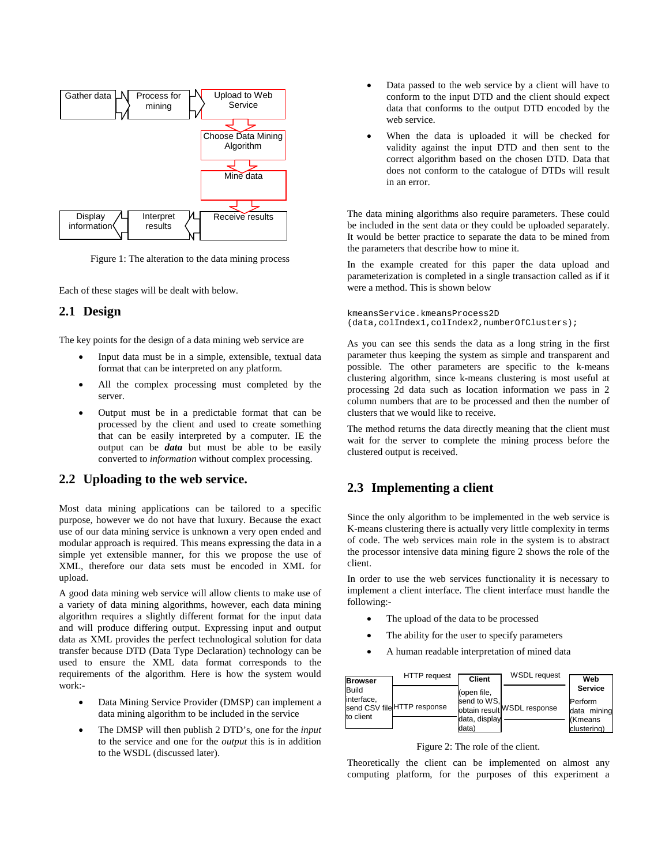

Figure 1: The alteration to the data mining process

Each of these stages will be dealt with below.

#### **2.1 Design**

The key points for the design of a data mining web service are

- Input data must be in a simple, extensible, textual data format that can be interpreted on any platform.
- All the complex processing must completed by the server.
- Output must be in a predictable format that can be processed by the client and used to create something that can be easily interpreted by a computer. IE the output can be *data* but must be able to be easily converted to *information* without complex processing.

## **2.2 Uploading to the web service.**

Most data mining applications can be tailored to a specific purpose, however we do not have that luxury. Because the exact use of our data mining service is unknown a very open ended and modular approach is required. This means expressing the data in a simple yet extensible manner, for this we propose the use of XML, therefore our data sets must be encoded in XML for upload.

A good data mining web service will allow clients to make use of a variety of data mining algorithms, however, each data mining algorithm requires a slightly different format for the input data and will produce differing output. Expressing input and output data as XML provides the perfect technological solution for data transfer because DTD (Data Type Declaration) technology can be used to ensure the XML data format corresponds to the requirements of the algorithm. Here is how the system would work:-

- Data Mining Service Provider (DMSP) can implement a data mining algorithm to be included in the service
- The DMSP will then publish 2 DTD's, one for the *input* to the service and one for the *output* this is in addition to the WSDL (discussed later).
- Data passed to the web service by a client will have to conform to the input DTD and the client should expect data that conforms to the output DTD encoded by the web service.
- When the data is uploaded it will be checked for validity against the input DTD and then sent to the correct algorithm based on the chosen DTD. Data that does not conform to the catalogue of DTDs will result in an error.

The data mining algorithms also require parameters. These could be included in the sent data or they could be uploaded separately. It would be better practice to separate the data to be mined from the parameters that describe how to mine it.

In the example created for this paper the data upload and parameterization is completed in a single transaction called as if it were a method. This is shown below

```
kmeansService.kmeansProcess2D
(data,colIndex1,colIndex2,numberOfClusters);
```
As you can see this sends the data as a long string in the first parameter thus keeping the system as simple and transparent and possible. The other parameters are specific to the k-means clustering algorithm, since k-means clustering is most useful at processing 2d data such as location information we pass in 2 column numbers that are to be processed and then the number of clusters that we would like to receive.

The method returns the data directly meaning that the client must wait for the server to complete the mining process before the clustered output is received.

## **2.3 Implementing a client**

Since the only algorithm to be implemented in the web service is K-means clustering there is actually very little complexity in terms of code. The web services main role in the system is to abstract the processor intensive data mining figure 2 shows the role of the client.

In order to use the web services functionality it is necessary to implement a client interface. The client interface must handle the following:-

- The upload of the data to be processed
- The ability for the user to specify parameters
- A human readable interpretation of mined data

| <b>Browser</b>                   | HTTP request                | <b>Client</b> | <b>WSDL</b> request         | Web                      |
|----------------------------------|-----------------------------|---------------|-----------------------------|--------------------------|
| Build<br>interface,<br>to client |                             | (open file,   |                             | <b>Service</b>           |
|                                  | send CSV file HTTP response | send to WS.   | obtain result WSDL response | lPerform<br>Idata mining |
|                                  |                             | data, display |                             | l(Kmeans                 |
|                                  |                             | ldata)        |                             | clustering)              |

Figure 2: The role of the client.

Theoretically the client can be implemented on almost any computing platform, for the purposes of this experiment a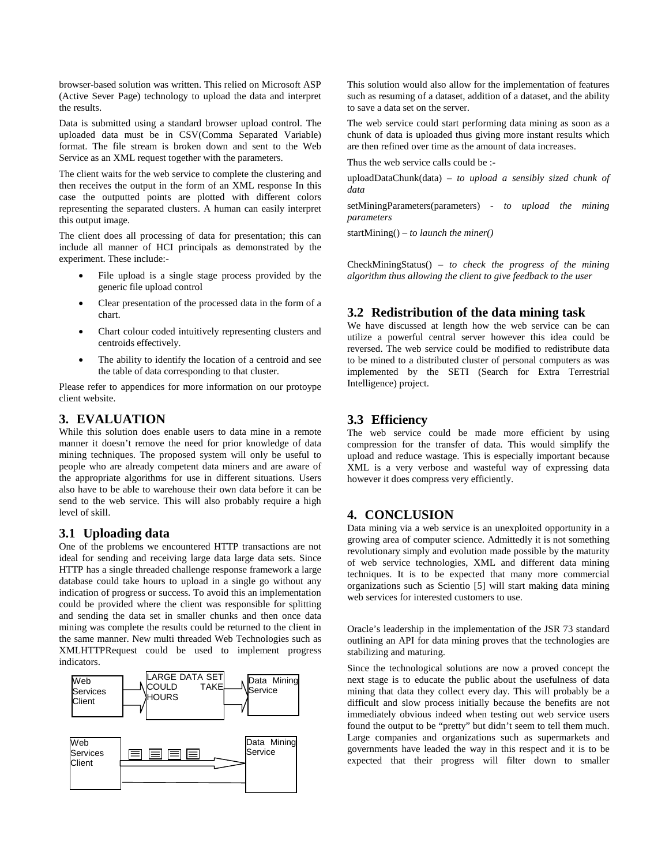browser-based solution was written. This relied on Microsoft ASP (Active Sever Page) technology to upload the data and interpret the results.

Data is submitted using a standard browser upload control. The uploaded data must be in CSV(Comma Separated Variable) format. The file stream is broken down and sent to the Web Service as an XML request together with the parameters.

The client waits for the web service to complete the clustering and then receives the output in the form of an XML response In this case the outputted points are plotted with different colors representing the separated clusters. A human can easily interpret this output image.

The client does all processing of data for presentation; this can include all manner of HCI principals as demonstrated by the experiment. These include:-

- File upload is a single stage process provided by the generic file upload control
- Clear presentation of the processed data in the form of a chart.
- Chart colour coded intuitively representing clusters and centroids effectively.
- The ability to identify the location of a centroid and see the table of data corresponding to that cluster.

Please refer to appendices for more information on our protoype client website.

#### **3. EVALUATION**

While this solution does enable users to data mine in a remote manner it doesn't remove the need for prior knowledge of data mining techniques. The proposed system will only be useful to people who are already competent data miners and are aware of the appropriate algorithms for use in different situations. Users also have to be able to warehouse their own data before it can be send to the web service. This will also probably require a high level of skill.

#### **3.1 Uploading data**

One of the problems we encountered HTTP transactions are not ideal for sending and receiving large data large data sets. Since HTTP has a single threaded challenge response framework a large database could take hours to upload in a single go without any indication of progress or success. To avoid this an implementation could be provided where the client was responsible for splitting and sending the data set in smaller chunks and then once data mining was complete the results could be returned to the client in the same manner. New multi threaded Web Technologies such as XMLHTTPRequest could be used to implement progress indicators.



This solution would also allow for the implementation of features such as resuming of a dataset, addition of a dataset, and the ability to save a data set on the server.

The web service could start performing data mining as soon as a chunk of data is uploaded thus giving more instant results which are then refined over time as the amount of data increases.

Thus the web service calls could be :-

uploadDataChunk(data) – *to upload a sensibly sized chunk of data*

setMiningParameters(parameters) *- to upload the mining parameters*

startMining() *– to launch the miner()*

CheckMiningStatus() *– to check the progress of the mining algorithm thus allowing the client to give feedback to the user*

## **3.2 Redistribution of the data mining task**

We have discussed at length how the web service can be can utilize a powerful central server however this idea could be reversed. The web service could be modified to redistribute data to be mined to a distributed cluster of personal computers as was implemented by the SETI (Search for Extra Terrestrial Intelligence) project.

#### **3.3 Efficiency**

The web service could be made more efficient by using compression for the transfer of data. This would simplify the upload and reduce wastage. This is especially important because XML is a very verbose and wasteful way of expressing data however it does compress very efficiently.

## **4. CONCLUSION**

Data mining via a web service is an unexploited opportunity in a growing area of computer science. Admittedly it is not something revolutionary simply and evolution made possible by the maturity of web service technologies, XML and different data mining techniques. It is to be expected that many more commercial organizations such as Scientio [5] will start making data mining web services for interested customers to use.

Oracle's leadership in the implementation of the JSR 73 standard outlining an API for data mining proves that the technologies are stabilizing and maturing.

Since the technological solutions are now a proved concept the next stage is to educate the public about the usefulness of data mining that data they collect every day. This will probably be a difficult and slow process initially because the benefits are not immediately obvious indeed when testing out web service users found the output to be "pretty" but didn't seem to tell them much. Large companies and organizations such as supermarkets and governments have leaded the way in this respect and it is to be expected that their progress will filter down to smaller